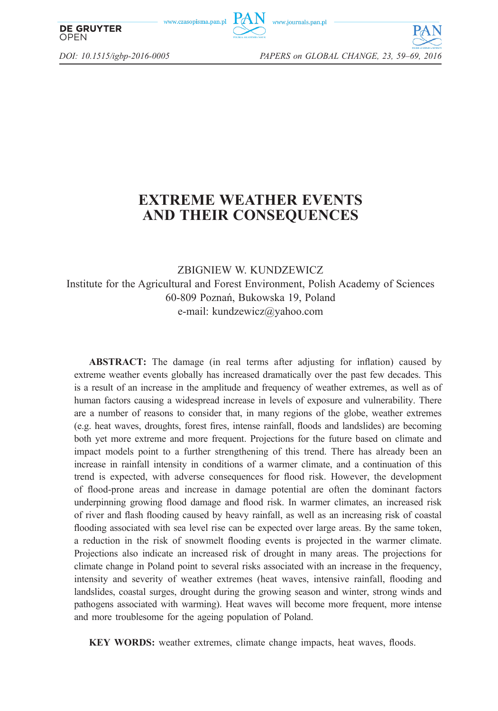

**OPEN** 

**DE GRUYTER** 

*DOI: 10.1515/igbp-2016-0005 PAPERS on GLOBAL CHANGE, 23, 59–69, 2016*

# **EXTREME WEATHER EVENTS AND THEIR CONSEQUENCES**

ZBIGNIEW W. KUNDZEWICZ Institute for the Agricultural and Forest Environment, Polish Academy of Sciences 60-809 Poznań, Bukowska 19, Poland e-mail: kundzewicz@yahoo.com

**ABSTRACT:** The damage (in real terms after adjusting for inflation) caused by extreme weather events globally has increased dramatically over the past few decades. This is a result of an increase in the amplitude and frequency of weather extremes, as well as of human factors causing a widespread increase in levels of exposure and vulnerability. There are a number of reasons to consider that, in many regions of the globe, weather extremes (e.g. heat waves, droughts, forest fires, intense rainfall, floods and landslides) are becoming both yet more extreme and more frequent. Projections for the future based on climate and impact models point to a further strengthening of this trend. There has already been an increase in rainfall intensity in conditions of a warmer climate, and a continuation of this trend is expected, with adverse consequences for flood risk. However, the development of fl ood-prone areas and increase in damage potential are often the dominant factors underpinning growing flood damage and flood risk. In warmer climates, an increased risk of river and flash flooding caused by heavy rainfall, as well as an increasing risk of coastal flooding associated with sea level rise can be expected over large areas. By the same token, a reduction in the risk of snowmelt flooding events is projected in the warmer climate. Projections also indicate an increased risk of drought in many areas. The projections for climate change in Poland point to several risks associated with an increase in the frequency, intensity and severity of weather extremes (heat waves, intensive rainfall, flooding and landslides, coastal surges, drought during the growing season and winter, strong winds and pathogens associated with warming). Heat waves will become more frequent, more intense and more troublesome for the ageing population of Poland.

KEY WORDS: weather extremes, climate change impacts, heat waves, floods.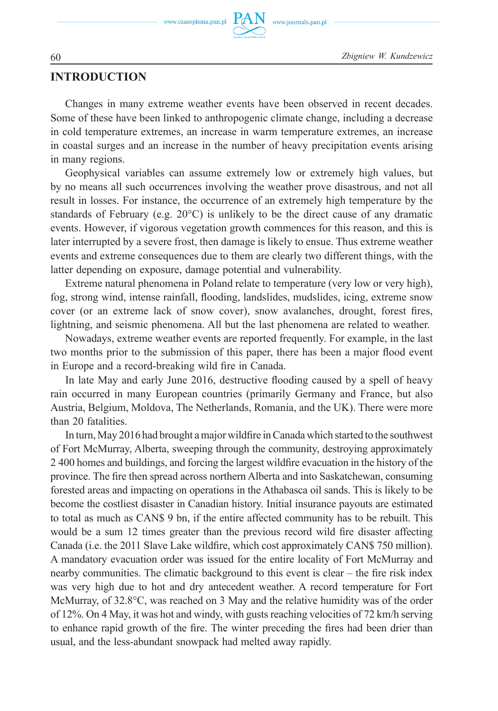

# **INTRODUCTION**

Changes in many extreme weather events have been observed in recent decades. Some of these have been linked to anthropogenic climate change, including a decrease in cold temperature extremes, an increase in warm temperature extremes, an increase in coastal surges and an increase in the number of heavy precipitation events arising in many regions.

Geophysical variables can assume extremely low or extremely high values, but by no means all such occurrences involving the weather prove disastrous, and not all result in losses. For instance, the occurrence of an extremely high temperature by the standards of February (e.g. 20°C) is unlikely to be the direct cause of any dramatic events. However, if vigorous vegetation growth commences for this reason, and this is later interrupted by a severe frost, then damage is likely to ensue. Thus extreme weather events and extreme consequences due to them are clearly two different things, with the latter depending on exposure, damage potential and vulnerability.

Extreme natural phenomena in Poland relate to temperature (very low or very high), fog, strong wind, intense rainfall, flooding, landslides, mudslides, icing, extreme snow cover (or an extreme lack of snow cover), snow avalanches, drought, forest fires, lightning, and seismic phenomena. All but the last phenomena are related to weather.

Nowadays, extreme weather events are reported frequently. For example, in the last two months prior to the submission of this paper, there has been a major flood event in Europe and a record-breaking wild fire in Canada.

In late May and early June 2016, destructive flooding caused by a spell of heavy rain occurred in many European countries (primarily Germany and France, but also Austria, Belgium, Moldova, The Netherlands, Romania, and the UK). There were more than 20 fatalities.

In turn, May 2016 had brought a major wildfire in Canada which started to the southwest of Fort McMurray, Alberta, sweeping through the community, destroying approximately 2400 homes and buildings, and forcing the largest wildfire evacuation in the history of the province. The fire then spread across northern Alberta and into Saskatchewan, consuming forested areas and impacting on operations in the Athabasca oil sands. This is likely to be become the costliest disaster in Canadian history. Initial insurance payouts are estimated to total as much as CAN\$ 9 bn, if the entire affected community has to be rebuilt. This would be a sum 12 times greater than the previous record wild fire disaster affecting Canada (i.e. the 2011 Slave Lake wildfire, which cost approximately CAN\$ 750 million). A mandatory evacuation order was issued for the entire locality of Fort McMurray and nearby communities. The climatic background to this event is clear – the fire risk index was very high due to hot and dry antecedent weather. A record temperature for Fort McMurray, of 32.8°C, was reached on 3 May and the relative humidity was of the order of 12%. On 4 May, it was hot and windy, with gusts reaching velocities of 72 km/h serving to enhance rapid growth of the fire. The winter preceding the fires had been drier than usual, and the less-abundant snowpack had melted away rapidly.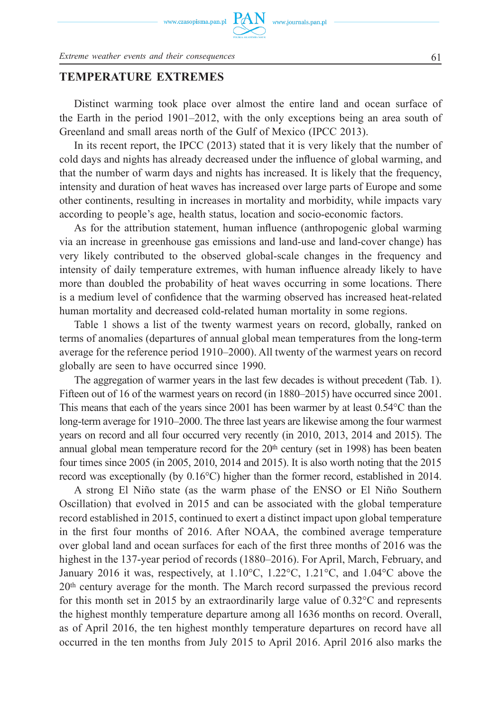

# **TEMPERATURE EXTREMES**

Distinct warming took place over almost the entire land and ocean surface of the Earth in the period 1901–2012, with the only exceptions being an area south of Greenland and small areas north of the Gulf of Mexico (IPCC 2013).

In its recent report, the IPCC (2013) stated that it is very likely that the number of cold days and nights has already decreased under the influence of global warming, and that the number of warm days and nights has increased. It is likely that the frequency, intensity and duration of heat waves has increased over large parts of Europe and some other continents, resulting in increases in mortality and morbidity, while impacts vary according to people's age, health status, location and socio-economic factors.

As for the attribution statement, human influence (anthropogenic global warming via an increase in greenhouse gas emissions and land-use and land-cover change) has very likely contributed to the observed global-scale changes in the frequency and intensity of daily temperature extremes, with human influence already likely to have more than doubled the probability of heat waves occurring in some locations. There is a medium level of confidence that the warming observed has increased heat-related human mortality and decreased cold-related human mortality in some regions.

Table 1 shows a list of the twenty warmest years on record, globally, ranked on terms of anomalies (departures of annual global mean temperatures from the long-term average for the reference period 1910–2000). All twenty of the warmest years on record globally are seen to have occurred since 1990.

The aggregation of warmer years in the last few decades is without precedent (Tab. 1). Fifteen out of 16 of the warmest years on record (in 1880–2015) have occurred since 2001. This means that each of the years since 2001 has been warmer by at least 0.54°C than the long-term average for 1910–2000. The three last years are likewise among the four warmest years on record and all four occurred very recently (in 2010, 2013, 2014 and 2015). The annual global mean temperature record for the 20th century (set in 1998) has been beaten four times since 2005 (in 2005, 2010, 2014 and 2015). It is also worth noting that the 2015 record was exceptionally (by 0.16°C) higher than the former record, established in 2014.

A strong El Niño state (as the warm phase of the ENSO or El Niño Southern Oscillation) that evolved in 2015 and can be associated with the global temperature record established in 2015, continued to exert a distinct impact upon global temperature in the first four months of 2016. After NOAA, the combined average temperature over global land and ocean surfaces for each of the first three months of 2016 was the highest in the 137-year period of records (1880–2016). For April, March, February, and January 2016 it was, respectively, at 1.10°C, 1.22°C, 1.21°C, and 1.04°C above the 20th century average for the month. The March record surpassed the previous record for this month set in 2015 by an extraordinarily large value of  $0.32^{\circ}$ C and represents the highest monthly temperature departure among all 1636 months on record. Overall, as of April 2016, the ten highest monthly temperature departures on record have all occurred in the ten months from July 2015 to April 2016. April 2016 also marks the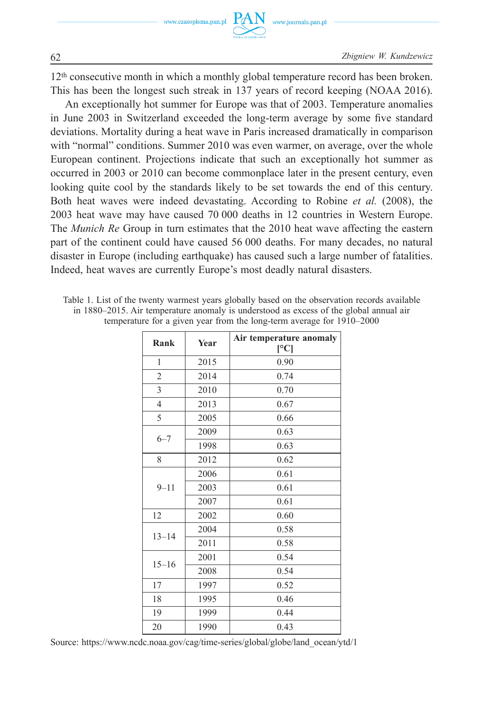12<sup>th</sup> consecutive month in which a monthly global temperature record has been broken. This has been the longest such streak in 137 years of record keeping (NOAA 2016).

An exceptionally hot summer for Europe was that of 2003. Temperature anomalies in June 2003 in Switzerland exceeded the long-term average by some five standard deviations. Mortality during a heat wave in Paris increased dramatically in comparison with "normal" conditions. Summer 2010 was even warmer, on average, over the whole European continent. Projections indicate that such an exceptionally hot summer as occurred in 2003 or 2010 can become commonplace later in the present century, even looking quite cool by the standards likely to be set towards the end of this century. Both heat waves were indeed devastating. According to Robine *et al.* (2008), the 2003 heat wave may have caused 70 000 deaths in 12 countries in Western Europe. The *Munich Re* Group in turn estimates that the 2010 heat wave affecting the eastern part of the continent could have caused 56 000 deaths. For many decades, no natural disaster in Europe (including earthquake) has caused such a large number of fatalities. Indeed, heat waves are currently Europe's most deadly natural disasters.

Table 1. List of the twenty warmest years globally based on the observation records available in 1880–2015. Air temperature anomaly is understood as excess of the global annual air temperature for a given year from the long-term average for 1910–2000

| Rank           | Year | Air temperature anomaly<br>[°C] |
|----------------|------|---------------------------------|
| 1              | 2015 | 0.90                            |
| $\overline{2}$ | 2014 | 0.74                            |
| 3              | 2010 | 0.70                            |
| $\overline{4}$ | 2013 | 0.67                            |
| 5              | 2005 | 0.66                            |
| $6 - 7$        | 2009 | 0.63                            |
|                | 1998 | 0.63                            |
| 8              | 2012 | 0.62                            |
| $9 - 11$       | 2006 | 0.61                            |
|                | 2003 | 0.61                            |
|                | 2007 | 0.61                            |
| 12             | 2002 | 0.60                            |
| $13 - 14$      | 2004 | 0.58                            |
|                | 2011 | 0.58                            |
| $15 - 16$      | 2001 | 0.54                            |
|                | 2008 | 0.54                            |
| 17             | 1997 | 0.52                            |
| 18             | 1995 | 0.46                            |
| 19             | 1999 | 0.44                            |
| 20             | 1990 | 0.43                            |

Source: https://www.ncdc.noaa.gov/cag/time-series/global/globe/land\_ocean/ytd/1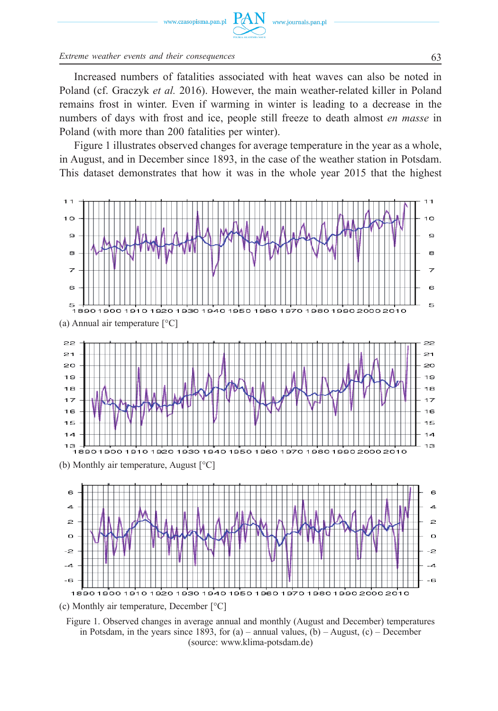

*Extreme weather events and their consequences* 63

Increased numbers of fatalities associated with heat waves can also be noted in Poland (cf. Graczyk *et al.* 2016). However, the main weather-related killer in Poland remains frost in winter. Even if warming in winter is leading to a decrease in the numbers of days with frost and ice, people still freeze to death almost *en masse* in Poland (with more than 200 fatalities per winter).

www.journals.pan.pl

Figure 1 illustrates observed changes for average temperature in the year as a whole, in August, and in December since 1893, in the case of the weather station in Potsdam. This dataset demonstrates that how it was in the whole year 2015 that the highest



Figure 1. Observed changes in average annual and monthly (August and December) temperatures in Potsdam, in the years since 1893, for (a) – annual values, (b) – August, (c) – December (source: www.klima-potsdam.de)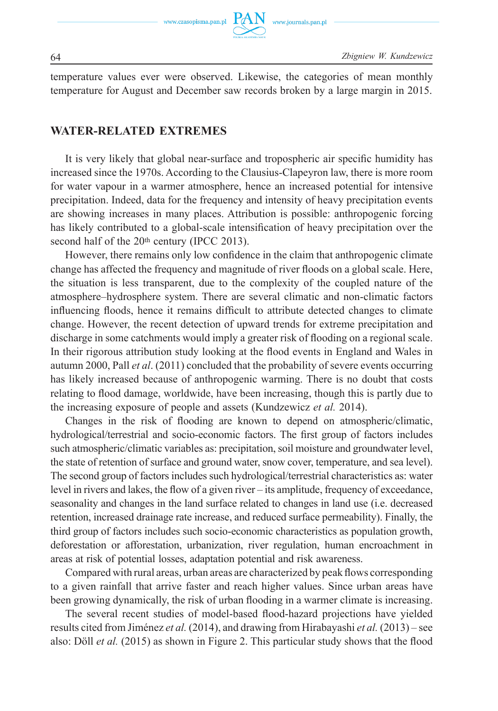

temperature values ever were observed. Likewise, the categories of mean monthly temperature for August and December saw records broken by a large margin in 2015.

# **WATER-RELATED EXTREMES**

It is very likely that global near-surface and tropospheric air specific humidity has increased since the 1970s. According to the Clausius-Clapeyron law, there is more room for water vapour in a warmer atmosphere, hence an increased potential for intensive precipitation. Indeed, data for the frequency and intensity of heavy precipitation events are showing increases in many places. Attribution is possible: anthropogenic forcing has likely contributed to a global-scale intensification of heavy precipitation over the second half of the 20<sup>th</sup> century (IPCC 2013).

However, there remains only low confidence in the claim that anthropogenic climate change has affected the frequency and magnitude of river floods on a global scale. Here, the situation is less transparent, due to the complexity of the coupled nature of the atmosphere–hydrosphere system. There are several climatic and non-climatic factors influencing floods, hence it remains difficult to attribute detected changes to climate change. However, the recent detection of upward trends for extreme precipitation and discharge in some catchments would imply a greater risk of flooding on a regional scale. In their rigorous attribution study looking at the flood events in England and Wales in autumn 2000, Pall *et al*. (2011) concluded that the probability of severe events occurring has likely increased because of anthropogenic warming. There is no doubt that costs relating to flood damage, worldwide, have been increasing, though this is partly due to the increasing exposure of people and assets (Kundzewicz *et al.* 2014).

Changes in the risk of flooding are known to depend on atmospheric/climatic, hydrological/terrestrial and socio-economic factors. The first group of factors includes such atmospheric/climatic variables as: precipitation, soil moisture and groundwater level, the state of retention of surface and ground water, snow cover, temperature, and sea level). The second group of factors includes such hydrological/terrestrial characteristics as: water level in rivers and lakes, the flow of a given river – its amplitude, frequency of exceedance, seasonality and changes in the land surface related to changes in land use (i.e. decreased retention, increased drainage rate increase, and reduced surface permeability). Finally, the third group of factors includes such socio-economic characteristics as population growth, deforestation or afforestation, urbanization, river regulation, human encroachment in areas at risk of potential losses, adaptation potential and risk awareness.

Compared with rural areas, urban areas are characterized by peak flows corresponding to a given rainfall that arrive faster and reach higher values. Since urban areas have been growing dynamically, the risk of urban flooding in a warmer climate is increasing.

The several recent studies of model-based flood-hazard projections have yielded results cited from Jiménez *et al.* (2014), and drawing from Hirabayashi *et al.* (2013) – see also: Döll *et al.* (2015) as shown in Figure 2. This particular study shows that the flood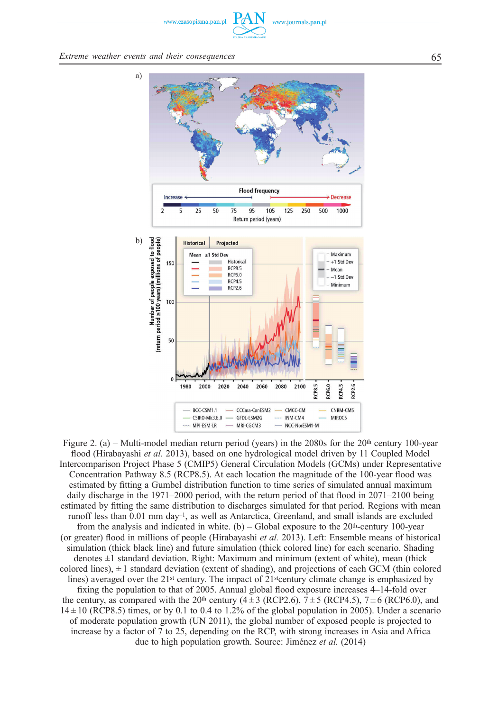*Extreme weather events and their consequences* 65



Figure 2. (a) – Multi-model median return period (years) in the  $2080s$  for the  $20th$  century 100-year flood (Hirabayashi *et al.* 2013), based on one hydrological model driven by 11 Coupled Model Intercomparison Project Phase 5 (CMIP5) General Circulation Models (GCMs) under Representative Concentration Pathway 8.5 (RCP8.5). At each location the magnitude of the 100-year flood was estimated by fitting a Gumbel distribution function to time series of simulated annual maximum daily discharge in the  $1971-2000$  period, with the return period of that flood in  $2071-2100$  being estimated by fitting the same distribution to discharges simulated for that period. Regions with mean runoff less than 0.01 mm day–1, as well as Antarctica, Greenland, and small islands are excluded from the analysis and indicated in white. (b) – Global exposure to the  $20<sup>th</sup>$ -century 100-year (or greater) flood in millions of people (Hirabayashi *et al.* 2013). Left: Ensemble means of historical simulation (thick black line) and future simulation (thick colored line) for each scenario. Shading denotes ±1 standard deviation. Right: Maximum and minimum (extent of white), mean (thick colored lines),  $\pm 1$  standard deviation (extent of shading), and projections of each GCM (thin colored lines) averaged over the 21<sup>st</sup> century. The impact of 21<sup>st</sup> century climate change is emphasized by fixing the population to that of 2005. Annual global flood exposure increases 4–14-fold over the century, as compared with the 20<sup>th</sup> century (4  $\pm$  3 (RCP2.6), 7  $\pm$  5 (RCP4.5), 7  $\pm$  6 (RCP6.0), and  $14 \pm 10$  (RCP8.5) times, or by 0.1 to 0.4 to 1.2% of the global population in 2005). Under a scenario of moderate population growth (UN 2011), the global number of exposed people is projected to increase by a factor of 7 to 25, depending on the RCP, with strong increases in Asia and Africa due to high population growth. Source: Jiménez *et al.* (2014)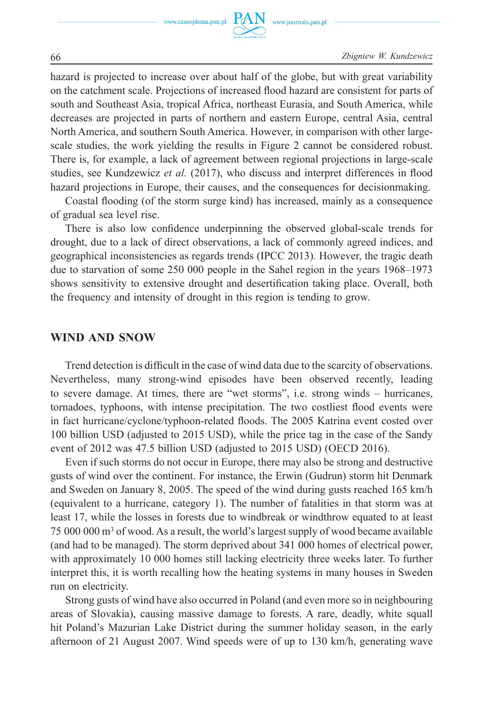

hazard is projected to increase over about half of the globe, but with great variability on the catchment scale. Projections of increased flood hazard are consistent for parts of south and Southeast Asia, tropical Africa, northeast Eurasia, and South America, while decreases are projected in parts of northern and eastern Europe, central Asia, central North America, and southern South America. However, in comparison with other largescale studies, the work yielding the results in Figure 2 cannot be considered robust. There is, for example, a lack of agreement between regional projections in large-scale studies, see Kundzewicz *et al.* (2017), who discuss and interpret differences in flood hazard projections in Europe, their causes, and the consequences for decisionmaking.

Coastal flooding (of the storm surge kind) has increased, mainly as a consequence of gradual sea level rise.

There is also low confidence underpinning the observed global-scale trends for drought, due to a lack of direct observations, a lack of commonly agreed indices, and geographical inconsistencies as regards trends (IPCC 2013). However, the tragic death due to starvation of some 250 000 people in the Sahel region in the years 1968–1973 shows sensitivity to extensive drought and desertification taking place. Overall, both the frequency and intensity of drought in this region is tending to grow.

#### **WIND AND SNOW**

Trend detection is difficult in the case of wind data due to the scarcity of observations. Nevertheless, many strong-wind episodes have been observed recently, leading to severe damage. At times, there are "wet storms", i.e. strong winds – hurricanes, tornadoes, typhoons, with intense precipitation. The two costliest flood events were in fact hurricane/cyclone/typhoon-related floods. The 2005 Katrina event costed over 100 billion USD (adjusted to 2015 USD), while the price tag in the case of the Sandy event of 2012 was 47.5 billion USD (adjusted to 2015 USD) (OECD 2016).

Even if such storms do not occur in Europe, there may also be strong and destructive gusts of wind over the continent. For instance, the Erwin (Gudrun) storm hit Denmark and Sweden on January 8, 2005. The speed of the wind during gusts reached 165 km/h (equivalent to a hurricane, category 1). The number of fatalities in that storm was at least 17, while the losses in forests due to windbreak or windthrow equated to at least 75 000 000 m3 of wood. As a result, the world's largest supply of wood became available (and had to be managed). The storm deprived about 341 000 homes of electrical power, with approximately 10 000 homes still lacking electricity three weeks later. To further interpret this, it is worth recalling how the heating systems in many houses in Sweden run on electricity.

Strong gusts of wind have also occurred in Poland (and even more so in neighbouring areas of Slovakia), causing massive damage to forests. A rare, deadly, white squall hit Poland's Mazurian Lake District during the summer holiday season, in the early afternoon of 21 August 2007. Wind speeds were of up to 130 km/h, generating wave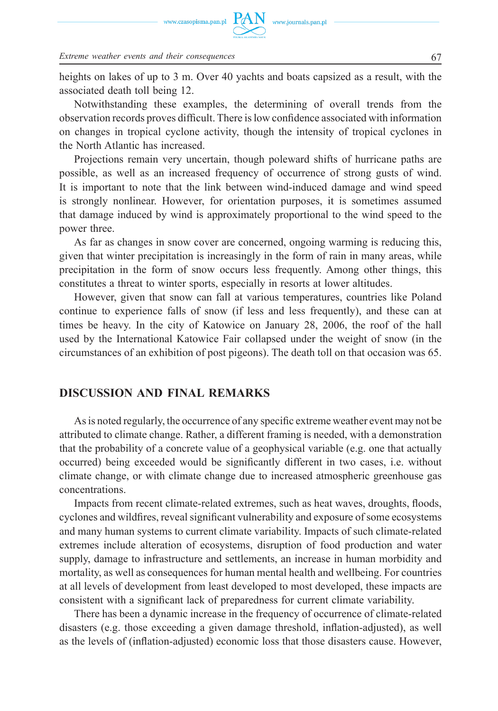

*Extreme weather events and their consequences* 67

heights on lakes of up to 3 m. Over 40 yachts and boats capsized as a result, with the associated death toll being 12.

www.journals.pan.pl

Notwithstanding these examples, the determining of overall trends from the observation records proves difficult. There is low confidence associated with information on changes in tropical cyclone activity, though the intensity of tropical cyclones in the North Atlantic has increased.

Projections remain very uncertain, though poleward shifts of hurricane paths are possible, as well as an increased frequency of occurrence of strong gusts of wind. It is important to note that the link between wind-induced damage and wind speed is strongly nonlinear. However, for orientation purposes, it is sometimes assumed that damage induced by wind is approximately proportional to the wind speed to the power three.

As far as changes in snow cover are concerned, ongoing warming is reducing this, given that winter precipitation is increasingly in the form of rain in many areas, while precipitation in the form of snow occurs less frequently. Among other things, this constitutes a threat to winter sports, especially in resorts at lower altitudes.

However, given that snow can fall at various temperatures, countries like Poland continue to experience falls of snow (if less and less frequently), and these can at times be heavy. In the city of Katowice on January 28, 2006, the roof of the hall used by the International Katowice Fair collapsed under the weight of snow (in the circumstances of an exhibition of post pigeons). The death toll on that occasion was 65.

#### **DISCUSSION AND FINAL REMARKS**

As is noted regularly, the occurrence of any specific extreme weather event may not be attributed to climate change. Rather, a different framing is needed, with a demonstration that the probability of a concrete value of a geophysical variable (e.g. one that actually occurred) being exceeded would be significantly different in two cases, i.e. without climate change, or with climate change due to increased atmospheric greenhouse gas concentrations.

Impacts from recent climate-related extremes, such as heat waves, droughts, floods, cyclones and wildfires, reveal significant vulnerability and exposure of some ecosystems and many human systems to current climate variability. Impacts of such climate-related extremes include alteration of ecosystems, disruption of food production and water supply, damage to infrastructure and settlements, an increase in human morbidity and mortality, as well as consequences for human mental health and wellbeing. For countries at all levels of development from least developed to most developed, these impacts are consistent with a significant lack of preparedness for current climate variability.

There has been a dynamic increase in the frequency of occurrence of climate-related disasters (e.g. those exceeding a given damage threshold, inflation-adjusted), as well as the levels of (inflation-adjusted) economic loss that those disasters cause. However,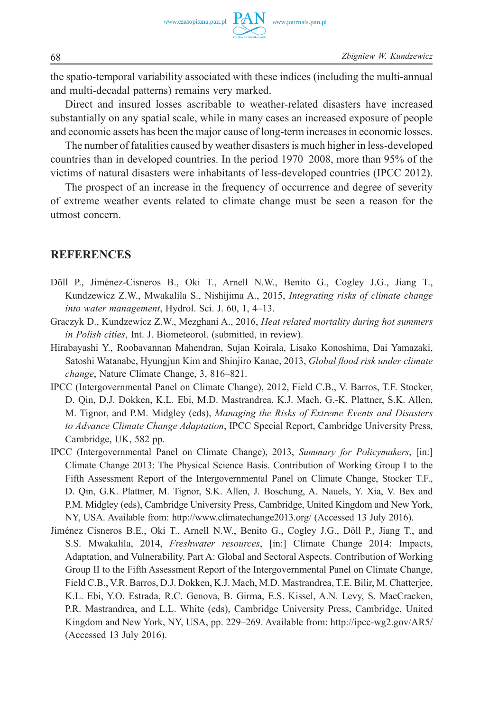the spatio-temporal variability associated with these indices (including the multi-annual and multi-decadal patterns) remains very marked.

Direct and insured losses ascribable to weather-related disasters have increased substantially on any spatial scale, while in many cases an increased exposure of people and economic assets has been the major cause of long-term increases in economic losses.

The number of fatalities caused by weather disasters is much higher in less-developed countries than in developed countries. In the period 1970–2008, more than 95% of the victims of natural disasters were inhabitants of less-developed countries (IPCC 2012).

The prospect of an increase in the frequency of occurrence and degree of severity of extreme weather events related to climate change must be seen a reason for the utmost concern.

#### **REFERENCES**

- Döll P., Jiménez-Cisneros B., Oki T., Arnell N.W., Benito G., Cogley J.G., Jiang T., Kundzewicz Z.W., Mwakalila S., Nishijima A., 2015, *Integrating risks of climate change into water management*, Hydrol. Sci. J. 60, 1, 4–13.
- Graczyk D., Kundzewicz Z.W., Mezghani A., 2016, *Heat related mortality during hot summers in Polish cities*, Int. J. Biometeorol. (submitted, in review).
- Hirabayashi Y., Roobavannan Mahendran, Sujan Koirala, Lisako Konoshima, Dai Yamazaki, Satoshi Watanabe, Hyungjun Kim and Shinjiro Kanae, 2013, *Global flood risk under climate change*, Nature Climate Change, 3, 816–821.
- IPCC (Intergovernmental Panel on Climate Change), 2012, Field C.B., V. Barros, T.F. Stocker, D. Qin, D.J. Dokken, K.L. Ebi, M.D. Mastrandrea, K.J. Mach, G.-K. Plattner, S.K. Allen, M. Tignor, and P.M. Midgley (eds), *Managing the Risks of Extreme Events and Disasters to Advance Climate Change Adaptation*, IPCC Special Report, Cambridge University Press, Cambridge, UK, 582 pp.
- IPCC (Intergovernmental Panel on Climate Change), 2013, *Summary for Policymakers*, [in:] Climate Change 2013: The Physical Science Basis. Contribution of Working Group I to the Fifth Assessment Report of the Intergovernmental Panel on Climate Change, Stocker T.F., D. Qin, G.K. Plattner, M. Tignor, S.K. Allen, J. Boschung, A. Nauels, Y. Xia, V. Bex and P.M. Midgley (eds), Cambridge University Press, Cambridge, United Kingdom and New York, NY, USA. Available from: http://www.climatechange2013.org/ (Accessed 13 July 2016).
- Jiménez Cisneros B.E., Oki T., Arnell N.W., Benito G., Cogley J.G., Döll P., Jiang T., and S.S. Mwakalila, 2014, *Freshwater resources*, [in:] Climate Change 2014: Impacts, Adaptation, and Vulnerability. Part A: Global and Sectoral Aspects. Contribution of Working Group II to the Fifth Assessment Report of the Intergovernmental Panel on Climate Change, Field C.B., V.R. Barros, D.J. Dokken, K.J. Mach, M.D. Mastrandrea, T.E. Bilir, M. Chatterjee, K.L. Ebi, Y.O. Estrada, R.C. Genova, B. Girma, E.S. Kissel, A.N. Levy, S. MacCracken, P.R. Mastrandrea, and L.L. White (eds), Cambridge University Press, Cambridge, United Kingdom and New York, NY, USA, pp. 229–269. Available from: http://ipcc-wg2.gov/AR5/ (Accessed 13 July 2016).